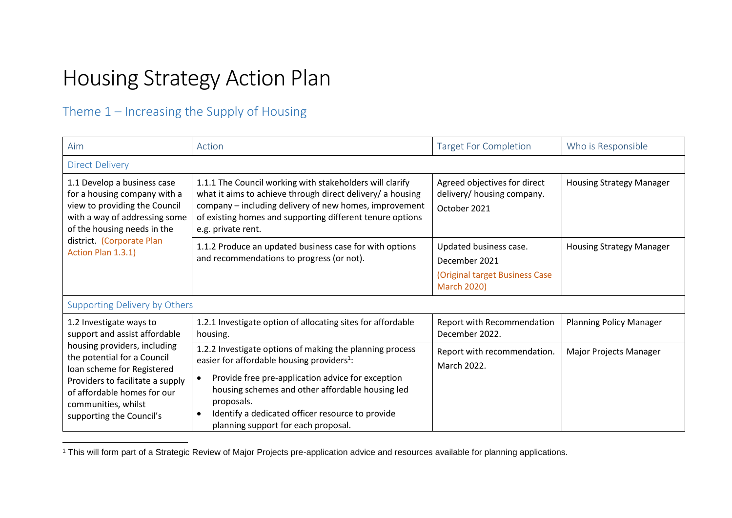# Housing Strategy Action Plan

#### Theme 1 – Increasing the Supply of Housing

 $\overline{a}$ 

| Aim                                                                                                                                                                                                             | Action                                                                                                                                                                                                                                                                                                                                                         | <b>Target For Completion</b>                                                                    | Who is Responsible              |
|-----------------------------------------------------------------------------------------------------------------------------------------------------------------------------------------------------------------|----------------------------------------------------------------------------------------------------------------------------------------------------------------------------------------------------------------------------------------------------------------------------------------------------------------------------------------------------------------|-------------------------------------------------------------------------------------------------|---------------------------------|
| <b>Direct Delivery</b>                                                                                                                                                                                          |                                                                                                                                                                                                                                                                                                                                                                |                                                                                                 |                                 |
| 1.1 Develop a business case<br>for a housing company with a<br>view to providing the Council<br>with a way of addressing some<br>of the housing needs in the<br>district. (Corporate Plan<br>Action Plan 1.3.1) | 1.1.1 The Council working with stakeholders will clarify<br>what it aims to achieve through direct delivery/ a housing<br>company - including delivery of new homes, improvement<br>of existing homes and supporting different tenure options<br>e.g. private rent.                                                                                            | Agreed objectives for direct<br>delivery/ housing company.<br>October 2021                      | <b>Housing Strategy Manager</b> |
|                                                                                                                                                                                                                 | 1.1.2 Produce an updated business case for with options<br>and recommendations to progress (or not).                                                                                                                                                                                                                                                           | Updated business case.<br>December 2021<br>(Original target Business Case<br><b>March 2020)</b> | <b>Housing Strategy Manager</b> |
| Supporting Delivery by Others                                                                                                                                                                                   |                                                                                                                                                                                                                                                                                                                                                                |                                                                                                 |                                 |
| 1.2 Investigate ways to<br>support and assist affordable                                                                                                                                                        | 1.2.1 Investigate option of allocating sites for affordable<br>housing.                                                                                                                                                                                                                                                                                        | Report with Recommendation<br>December 2022.                                                    | <b>Planning Policy Manager</b>  |
| housing providers, including<br>the potential for a Council<br>loan scheme for Registered<br>Providers to facilitate a supply<br>of affordable homes for our<br>communities, whilst<br>supporting the Council's | 1.2.2 Investigate options of making the planning process<br>easier for affordable housing providers <sup>1</sup> :<br>Provide free pre-application advice for exception<br>$\bullet$<br>housing schemes and other affordable housing led<br>proposals.<br>Identify a dedicated officer resource to provide<br>$\bullet$<br>planning support for each proposal. | Report with recommendation.<br>March 2022.                                                      | Major Projects Manager          |

<sup>1</sup> This will form part of a Strategic Review of Major Projects pre-application advice and resources available for planning applications.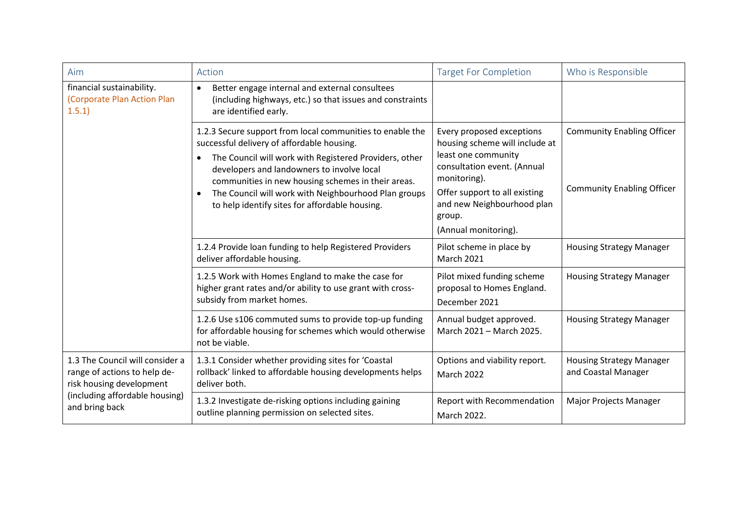| Aim                                                                                                                                             | Action                                                                                                                                                                                                                                                                                                                                                                          | <b>Target For Completion</b>                                                                                                                                                                                                       | Who is Responsible                                                     |
|-------------------------------------------------------------------------------------------------------------------------------------------------|---------------------------------------------------------------------------------------------------------------------------------------------------------------------------------------------------------------------------------------------------------------------------------------------------------------------------------------------------------------------------------|------------------------------------------------------------------------------------------------------------------------------------------------------------------------------------------------------------------------------------|------------------------------------------------------------------------|
| financial sustainability.<br>(Corporate Plan Action Plan<br>1.5.1                                                                               | Better engage internal and external consultees<br>$\bullet$<br>(including highways, etc.) so that issues and constraints<br>are identified early.                                                                                                                                                                                                                               |                                                                                                                                                                                                                                    |                                                                        |
|                                                                                                                                                 | 1.2.3 Secure support from local communities to enable the<br>successful delivery of affordable housing.<br>The Council will work with Registered Providers, other<br>developers and landowners to involve local<br>communities in new housing schemes in their areas.<br>The Council will work with Neighbourhood Plan groups<br>to help identify sites for affordable housing. | Every proposed exceptions<br>housing scheme will include at<br>least one community<br>consultation event. (Annual<br>monitoring).<br>Offer support to all existing<br>and new Neighbourhood plan<br>group.<br>(Annual monitoring). | <b>Community Enabling Officer</b><br><b>Community Enabling Officer</b> |
|                                                                                                                                                 | 1.2.4 Provide loan funding to help Registered Providers<br>deliver affordable housing.                                                                                                                                                                                                                                                                                          | Pilot scheme in place by<br><b>March 2021</b>                                                                                                                                                                                      | <b>Housing Strategy Manager</b>                                        |
|                                                                                                                                                 | 1.2.5 Work with Homes England to make the case for<br>higher grant rates and/or ability to use grant with cross-<br>subsidy from market homes.                                                                                                                                                                                                                                  | Pilot mixed funding scheme<br>proposal to Homes England.<br>December 2021                                                                                                                                                          | <b>Housing Strategy Manager</b>                                        |
|                                                                                                                                                 | 1.2.6 Use s106 commuted sums to provide top-up funding<br>for affordable housing for schemes which would otherwise<br>not be viable.                                                                                                                                                                                                                                            | Annual budget approved.<br>March 2021 - March 2025.                                                                                                                                                                                | <b>Housing Strategy Manager</b>                                        |
| 1.3 The Council will consider a<br>range of actions to help de-<br>risk housing development<br>(including affordable housing)<br>and bring back | 1.3.1 Consider whether providing sites for 'Coastal<br>rollback' linked to affordable housing developments helps<br>deliver both.                                                                                                                                                                                                                                               | Options and viability report.<br><b>March 2022</b>                                                                                                                                                                                 | <b>Housing Strategy Manager</b><br>and Coastal Manager                 |
|                                                                                                                                                 | 1.3.2 Investigate de-risking options including gaining<br>outline planning permission on selected sites.                                                                                                                                                                                                                                                                        | Report with Recommendation<br>March 2022.                                                                                                                                                                                          | <b>Major Projects Manager</b>                                          |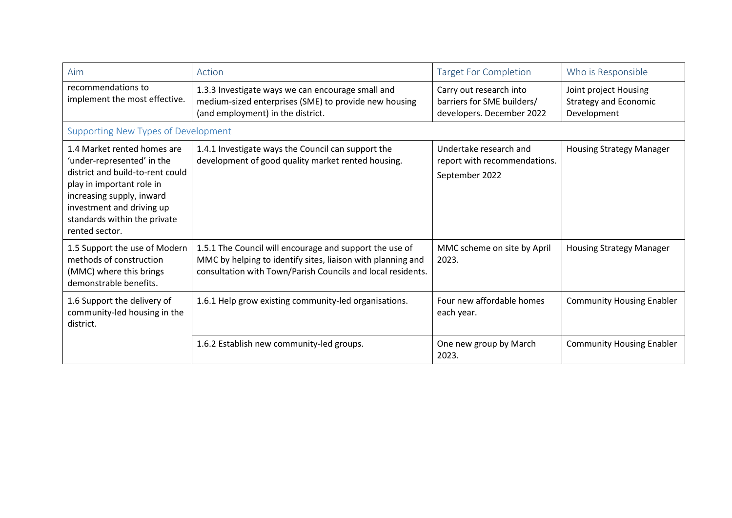| Aim                                                                                                                                                                                                                                    | Action                                                                                                                                                                                | <b>Target For Completion</b>                                                       | Who is Responsible                                                   |
|----------------------------------------------------------------------------------------------------------------------------------------------------------------------------------------------------------------------------------------|---------------------------------------------------------------------------------------------------------------------------------------------------------------------------------------|------------------------------------------------------------------------------------|----------------------------------------------------------------------|
| recommendations to<br>implement the most effective.                                                                                                                                                                                    | 1.3.3 Investigate ways we can encourage small and<br>medium-sized enterprises (SME) to provide new housing<br>(and employment) in the district.                                       | Carry out research into<br>barriers for SME builders/<br>developers. December 2022 | Joint project Housing<br><b>Strategy and Economic</b><br>Development |
| <b>Supporting New Types of Development</b>                                                                                                                                                                                             |                                                                                                                                                                                       |                                                                                    |                                                                      |
| 1.4 Market rented homes are<br>'under-represented' in the<br>district and build-to-rent could<br>play in important role in<br>increasing supply, inward<br>investment and driving up<br>standards within the private<br>rented sector. | 1.4.1 Investigate ways the Council can support the<br>development of good quality market rented housing.                                                                              | Undertake research and<br>report with recommendations.<br>September 2022           | <b>Housing Strategy Manager</b>                                      |
| 1.5 Support the use of Modern<br>methods of construction<br>(MMC) where this brings<br>demonstrable benefits.                                                                                                                          | 1.5.1 The Council will encourage and support the use of<br>MMC by helping to identify sites, liaison with planning and<br>consultation with Town/Parish Councils and local residents. | MMC scheme on site by April<br>2023.                                               | <b>Housing Strategy Manager</b>                                      |
| 1.6 Support the delivery of<br>community-led housing in the<br>district.                                                                                                                                                               | 1.6.1 Help grow existing community-led organisations.                                                                                                                                 | Four new affordable homes<br>each year.                                            | <b>Community Housing Enabler</b>                                     |
|                                                                                                                                                                                                                                        | 1.6.2 Establish new community-led groups.                                                                                                                                             | One new group by March<br>2023.                                                    | <b>Community Housing Enabler</b>                                     |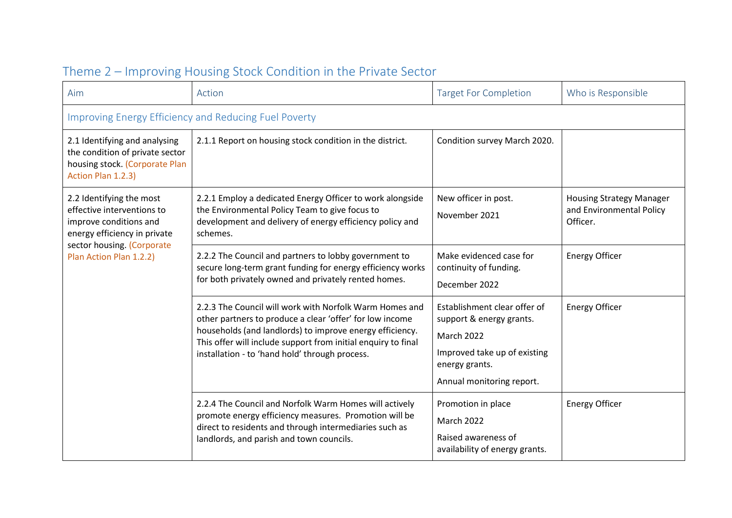| Aim                                                                                                                                                                       | Action                                                                                                                                                                                                                                                                                             | <b>Target For Completion</b>                                                                                                                                 | Who is Responsible                                                      |
|---------------------------------------------------------------------------------------------------------------------------------------------------------------------------|----------------------------------------------------------------------------------------------------------------------------------------------------------------------------------------------------------------------------------------------------------------------------------------------------|--------------------------------------------------------------------------------------------------------------------------------------------------------------|-------------------------------------------------------------------------|
| <b>Improving Energy Efficiency and Reducing Fuel Poverty</b>                                                                                                              |                                                                                                                                                                                                                                                                                                    |                                                                                                                                                              |                                                                         |
| 2.1 Identifying and analysing<br>the condition of private sector<br>housing stock. (Corporate Plan<br>Action Plan 1.2.3)                                                  | 2.1.1 Report on housing stock condition in the district.                                                                                                                                                                                                                                           | Condition survey March 2020.                                                                                                                                 |                                                                         |
| 2.2 Identifying the most<br>effective interventions to<br>improve conditions and<br>energy efficiency in private<br>sector housing. (Corporate<br>Plan Action Plan 1.2.2) | 2.2.1 Employ a dedicated Energy Officer to work alongside<br>the Environmental Policy Team to give focus to<br>development and delivery of energy efficiency policy and<br>schemes.                                                                                                                | New officer in post.<br>November 2021                                                                                                                        | <b>Housing Strategy Manager</b><br>and Environmental Policy<br>Officer. |
|                                                                                                                                                                           | 2.2.2 The Council and partners to lobby government to<br>secure long-term grant funding for energy efficiency works<br>for both privately owned and privately rented homes.                                                                                                                        | Make evidenced case for<br>continuity of funding.<br>December 2022                                                                                           | <b>Energy Officer</b>                                                   |
|                                                                                                                                                                           | 2.2.3 The Council will work with Norfolk Warm Homes and<br>other partners to produce a clear 'offer' for low income<br>households (and landlords) to improve energy efficiency.<br>This offer will include support from initial enquiry to final<br>installation - to 'hand hold' through process. | Establishment clear offer of<br>support & energy grants.<br><b>March 2022</b><br>Improved take up of existing<br>energy grants.<br>Annual monitoring report. | <b>Energy Officer</b>                                                   |
|                                                                                                                                                                           | 2.2.4 The Council and Norfolk Warm Homes will actively<br>promote energy efficiency measures. Promotion will be<br>direct to residents and through intermediaries such as<br>landlords, and parish and town councils.                                                                              | Promotion in place<br><b>March 2022</b><br>Raised awareness of<br>availability of energy grants.                                                             | <b>Energy Officer</b>                                                   |

### Theme 2 – Improving Housing Stock Condition in the Private Sector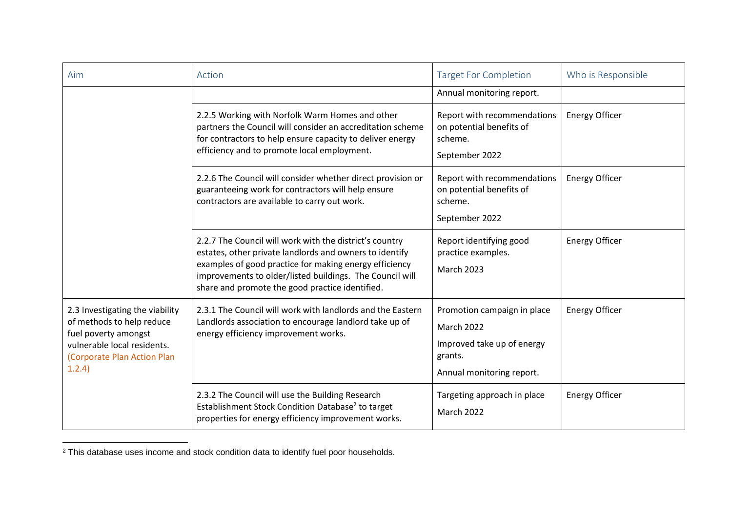| Aim                                                                                                                                                          | Action                                                                                                                                                                                                                                                                                      | <b>Target For Completion</b>                                                                                    | Who is Responsible    |
|--------------------------------------------------------------------------------------------------------------------------------------------------------------|---------------------------------------------------------------------------------------------------------------------------------------------------------------------------------------------------------------------------------------------------------------------------------------------|-----------------------------------------------------------------------------------------------------------------|-----------------------|
|                                                                                                                                                              |                                                                                                                                                                                                                                                                                             | Annual monitoring report.                                                                                       |                       |
|                                                                                                                                                              | 2.2.5 Working with Norfolk Warm Homes and other<br>partners the Council will consider an accreditation scheme<br>for contractors to help ensure capacity to deliver energy<br>efficiency and to promote local employment.                                                                   | Report with recommendations<br>on potential benefits of<br>scheme.<br>September 2022                            | <b>Energy Officer</b> |
|                                                                                                                                                              | 2.2.6 The Council will consider whether direct provision or<br>guaranteeing work for contractors will help ensure<br>contractors are available to carry out work.                                                                                                                           | Report with recommendations<br>on potential benefits of<br>scheme.<br>September 2022                            | <b>Energy Officer</b> |
|                                                                                                                                                              | 2.2.7 The Council will work with the district's country<br>estates, other private landlords and owners to identify<br>examples of good practice for making energy efficiency<br>improvements to older/listed buildings. The Council will<br>share and promote the good practice identified. | Report identifying good<br>practice examples.<br><b>March 2023</b>                                              | <b>Energy Officer</b> |
| 2.3 Investigating the viability<br>of methods to help reduce<br>fuel poverty amongst<br>vulnerable local residents.<br>(Corporate Plan Action Plan<br>1.2.4) | 2.3.1 The Council will work with landlords and the Eastern<br>Landlords association to encourage landlord take up of<br>energy efficiency improvement works.                                                                                                                                | Promotion campaign in place<br>March 2022<br>Improved take up of energy<br>grants.<br>Annual monitoring report. | <b>Energy Officer</b> |
|                                                                                                                                                              | 2.3.2 The Council will use the Building Research<br>Establishment Stock Condition Database <sup>2</sup> to target<br>properties for energy efficiency improvement works.                                                                                                                    | Targeting approach in place<br><b>March 2022</b>                                                                | <b>Energy Officer</b> |

 $2$  This database uses income and stock condition data to identify fuel poor households.

 $\overline{a}$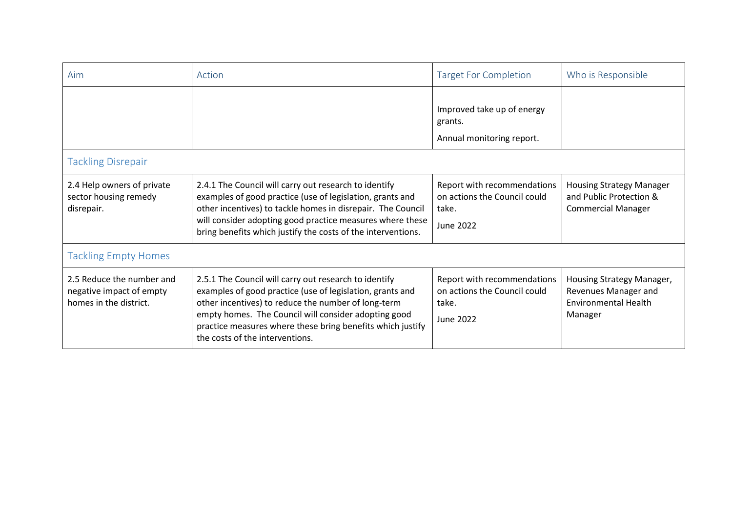| Aim                                                                             | Action                                                                                                                                                                                                                                                                                                                             | <b>Target For Completion</b>                                                             | Who is Responsible                                                                          |
|---------------------------------------------------------------------------------|------------------------------------------------------------------------------------------------------------------------------------------------------------------------------------------------------------------------------------------------------------------------------------------------------------------------------------|------------------------------------------------------------------------------------------|---------------------------------------------------------------------------------------------|
|                                                                                 |                                                                                                                                                                                                                                                                                                                                    | Improved take up of energy<br>grants.<br>Annual monitoring report.                       |                                                                                             |
| <b>Tackling Disrepair</b>                                                       |                                                                                                                                                                                                                                                                                                                                    |                                                                                          |                                                                                             |
| 2.4 Help owners of private<br>sector housing remedy<br>disrepair.               | 2.4.1 The Council will carry out research to identify<br>examples of good practice (use of legislation, grants and<br>other incentives) to tackle homes in disrepair. The Council<br>will consider adopting good practice measures where these<br>bring benefits which justify the costs of the interventions.                     | Report with recommendations<br>on actions the Council could<br>take.<br><b>June 2022</b> | <b>Housing Strategy Manager</b><br>and Public Protection &<br><b>Commercial Manager</b>     |
| <b>Tackling Empty Homes</b>                                                     |                                                                                                                                                                                                                                                                                                                                    |                                                                                          |                                                                                             |
| 2.5 Reduce the number and<br>negative impact of empty<br>homes in the district. | 2.5.1 The Council will carry out research to identify<br>examples of good practice (use of legislation, grants and<br>other incentives) to reduce the number of long-term<br>empty homes. The Council will consider adopting good<br>practice measures where these bring benefits which justify<br>the costs of the interventions. | Report with recommendations<br>on actions the Council could<br>take.<br>June 2022        | Housing Strategy Manager,<br>Revenues Manager and<br><b>Environmental Health</b><br>Manager |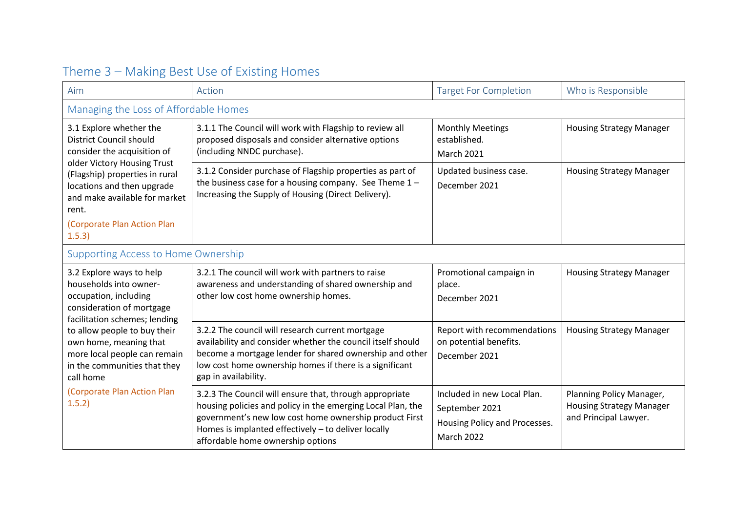| Aim                                                                                                                                                                                                                                                                                                                       | Action                                                                                                                                                                                                                                                                       | <b>Target For Completion</b>                                                                        | Who is Responsible                                                                   |  |
|---------------------------------------------------------------------------------------------------------------------------------------------------------------------------------------------------------------------------------------------------------------------------------------------------------------------------|------------------------------------------------------------------------------------------------------------------------------------------------------------------------------------------------------------------------------------------------------------------------------|-----------------------------------------------------------------------------------------------------|--------------------------------------------------------------------------------------|--|
| Managing the Loss of Affordable Homes                                                                                                                                                                                                                                                                                     |                                                                                                                                                                                                                                                                              |                                                                                                     |                                                                                      |  |
| 3.1 Explore whether the<br>District Council should<br>consider the acquisition of<br>older Victory Housing Trust<br>(Flagship) properties in rural<br>locations and then upgrade<br>and make available for market<br>rent.<br>(Corporate Plan Action Plan<br>1.5.3)                                                       | 3.1.1 The Council will work with Flagship to review all<br>proposed disposals and consider alternative options<br>(including NNDC purchase).                                                                                                                                 | <b>Monthly Meetings</b><br>established.<br><b>March 2021</b>                                        | <b>Housing Strategy Manager</b>                                                      |  |
|                                                                                                                                                                                                                                                                                                                           | 3.1.2 Consider purchase of Flagship properties as part of<br>the business case for a housing company. See Theme $1 -$<br>Increasing the Supply of Housing (Direct Delivery).                                                                                                 | Updated business case.<br>December 2021                                                             | <b>Housing Strategy Manager</b>                                                      |  |
| <b>Supporting Access to Home Ownership</b>                                                                                                                                                                                                                                                                                |                                                                                                                                                                                                                                                                              |                                                                                                     |                                                                                      |  |
| 3.2 Explore ways to help<br>households into owner-<br>occupation, including<br>consideration of mortgage<br>facilitation schemes; lending<br>to allow people to buy their<br>own home, meaning that<br>more local people can remain<br>in the communities that they<br>call home<br>(Corporate Plan Action Plan<br>1.5.2) | 3.2.1 The council will work with partners to raise<br>awareness and understanding of shared ownership and<br>other low cost home ownership homes.                                                                                                                            | Promotional campaign in<br>place.<br>December 2021                                                  | <b>Housing Strategy Manager</b>                                                      |  |
|                                                                                                                                                                                                                                                                                                                           | 3.2.2 The council will research current mortgage<br>availability and consider whether the council itself should<br>become a mortgage lender for shared ownership and other<br>low cost home ownership homes if there is a significant<br>gap in availability.                | Report with recommendations<br>on potential benefits.<br>December 2021                              | <b>Housing Strategy Manager</b>                                                      |  |
|                                                                                                                                                                                                                                                                                                                           | 3.2.3 The Council will ensure that, through appropriate<br>housing policies and policy in the emerging Local Plan, the<br>government's new low cost home ownership product First<br>Homes is implanted effectively - to deliver locally<br>affordable home ownership options | Included in new Local Plan.<br>September 2021<br>Housing Policy and Processes.<br><b>March 2022</b> | Planning Policy Manager,<br><b>Housing Strategy Manager</b><br>and Principal Lawyer. |  |

## Theme 3 – Making Best Use of Existing Homes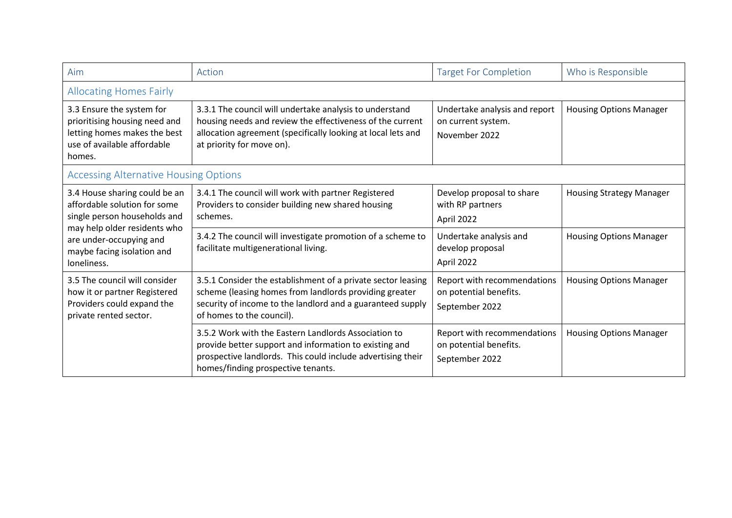| Aim                                                                                                                                                                                                   | Action                                                                                                                                                                                                              | <b>Target For Completion</b>                                            | Who is Responsible              |
|-------------------------------------------------------------------------------------------------------------------------------------------------------------------------------------------------------|---------------------------------------------------------------------------------------------------------------------------------------------------------------------------------------------------------------------|-------------------------------------------------------------------------|---------------------------------|
| <b>Allocating Homes Fairly</b>                                                                                                                                                                        |                                                                                                                                                                                                                     |                                                                         |                                 |
| 3.3 Ensure the system for<br>prioritising housing need and<br>letting homes makes the best<br>use of available affordable<br>homes.                                                                   | 3.3.1 The council will undertake analysis to understand<br>housing needs and review the effectiveness of the current<br>allocation agreement (specifically looking at local lets and<br>at priority for move on).   | Undertake analysis and report<br>on current system.<br>November 2022    | <b>Housing Options Manager</b>  |
| <b>Accessing Alternative Housing Options</b>                                                                                                                                                          |                                                                                                                                                                                                                     |                                                                         |                                 |
| 3.4 House sharing could be an<br>affordable solution for some<br>single person households and<br>may help older residents who<br>are under-occupying and<br>maybe facing isolation and<br>loneliness. | 3.4.1 The council will work with partner Registered<br>Providers to consider building new shared housing<br>schemes.                                                                                                | Develop proposal to share<br>with RP partners<br>April 2022             | <b>Housing Strategy Manager</b> |
|                                                                                                                                                                                                       | 3.4.2 The council will investigate promotion of a scheme to<br>facilitate multigenerational living.                                                                                                                 | Undertake analysis and<br>develop proposal<br>April 2022                | <b>Housing Options Manager</b>  |
| 3.5 The council will consider<br>how it or partner Registered<br>Providers could expand the<br>private rented sector.                                                                                 | 3.5.1 Consider the establishment of a private sector leasing<br>scheme (leasing homes from landlords providing greater<br>security of income to the landlord and a guaranteed supply<br>of homes to the council).   | Report with recommendations<br>on potential benefits.<br>September 2022 | <b>Housing Options Manager</b>  |
|                                                                                                                                                                                                       | 3.5.2 Work with the Eastern Landlords Association to<br>provide better support and information to existing and<br>prospective landlords. This could include advertising their<br>homes/finding prospective tenants. | Report with recommendations<br>on potential benefits.<br>September 2022 | <b>Housing Options Manager</b>  |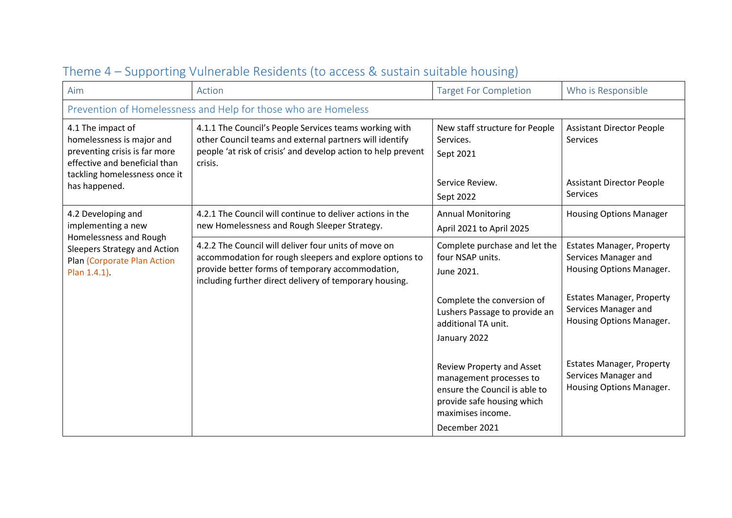| Aim                                                                                                                                                                | Action                                                                                                                                                                                                                         | <b>Target For Completion</b>                                                                                                                              | Who is Responsible                                                                                  |
|--------------------------------------------------------------------------------------------------------------------------------------------------------------------|--------------------------------------------------------------------------------------------------------------------------------------------------------------------------------------------------------------------------------|-----------------------------------------------------------------------------------------------------------------------------------------------------------|-----------------------------------------------------------------------------------------------------|
|                                                                                                                                                                    | Prevention of Homelessness and Help for those who are Homeless                                                                                                                                                                 |                                                                                                                                                           |                                                                                                     |
| 4.1 The impact of<br>homelessness is major and<br>preventing crisis is far more<br>effective and beneficial than<br>tackling homelessness once it<br>has happened. | 4.1.1 The Council's People Services teams working with<br>other Council teams and external partners will identify<br>people 'at risk of crisis' and develop action to help prevent<br>crisis.                                  | New staff structure for People<br>Services.<br>Sept 2021<br>Service Review.<br>Sept 2022                                                                  | <b>Assistant Director People</b><br><b>Services</b><br><b>Assistant Director People</b><br>Services |
| 4.2 Developing and<br>implementing a new<br>Homelessness and Rough<br>Sleepers Strategy and Action<br>Plan (Corporate Plan Action<br>Plan 1.4.1).                  | 4.2.1 The Council will continue to deliver actions in the<br>new Homelessness and Rough Sleeper Strategy.                                                                                                                      | <b>Annual Monitoring</b><br>April 2021 to April 2025                                                                                                      | <b>Housing Options Manager</b>                                                                      |
|                                                                                                                                                                    | 4.2.2 The Council will deliver four units of move on<br>accommodation for rough sleepers and explore options to<br>provide better forms of temporary accommodation,<br>including further direct delivery of temporary housing. | Complete purchase and let the<br>four NSAP units.<br>June 2021.                                                                                           | <b>Estates Manager, Property</b><br>Services Manager and<br>Housing Options Manager.                |
|                                                                                                                                                                    |                                                                                                                                                                                                                                | Complete the conversion of<br>Lushers Passage to provide an<br>additional TA unit.<br>January 2022                                                        | <b>Estates Manager, Property</b><br>Services Manager and<br>Housing Options Manager.                |
|                                                                                                                                                                    |                                                                                                                                                                                                                                | Review Property and Asset<br>management processes to<br>ensure the Council is able to<br>provide safe housing which<br>maximises income.<br>December 2021 | <b>Estates Manager, Property</b><br>Services Manager and<br>Housing Options Manager.                |

### Theme 4 – Supporting Vulnerable Residents (to access & sustain suitable housing)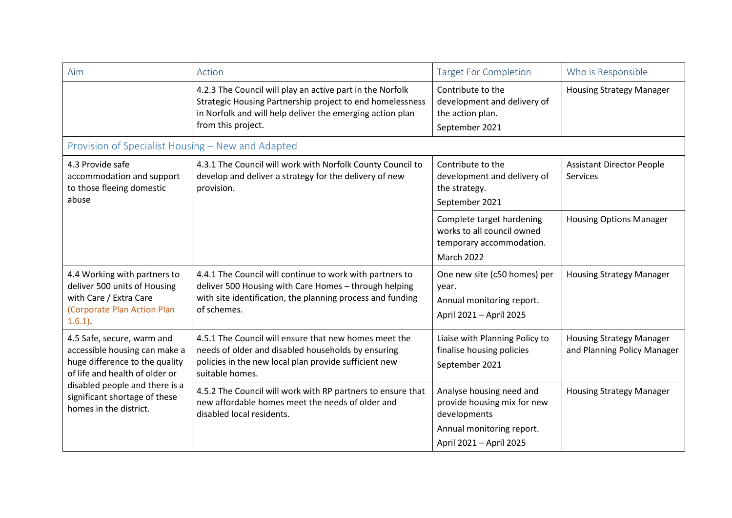| Aim                                                                                                                                                                                                                          | Action                                                                                                                                                                                                    | <b>Target For Completion</b>                                                                             | Who is Responsible                                             |
|------------------------------------------------------------------------------------------------------------------------------------------------------------------------------------------------------------------------------|-----------------------------------------------------------------------------------------------------------------------------------------------------------------------------------------------------------|----------------------------------------------------------------------------------------------------------|----------------------------------------------------------------|
|                                                                                                                                                                                                                              | 4.2.3 The Council will play an active part in the Norfolk<br>Strategic Housing Partnership project to end homelessness<br>in Norfolk and will help deliver the emerging action plan<br>from this project. | Contribute to the<br>development and delivery of<br>the action plan.<br>September 2021                   | <b>Housing Strategy Manager</b>                                |
| Provision of Specialist Housing - New and Adapted                                                                                                                                                                            |                                                                                                                                                                                                           |                                                                                                          |                                                                |
| 4.3 Provide safe<br>accommodation and support<br>to those fleeing domestic<br>abuse                                                                                                                                          | 4.3.1 The Council will work with Norfolk County Council to<br>develop and deliver a strategy for the delivery of new<br>provision.                                                                        | Contribute to the<br>development and delivery of<br>the strategy.<br>September 2021                      | <b>Assistant Director People</b><br>Services                   |
|                                                                                                                                                                                                                              |                                                                                                                                                                                                           | Complete target hardening<br>works to all council owned<br>temporary accommodation.<br><b>March 2022</b> | <b>Housing Options Manager</b>                                 |
| 4.4 Working with partners to<br>deliver 500 units of Housing<br>with Care / Extra Care<br>(Corporate Plan Action Plan<br>$1.6.1$ )                                                                                           | 4.4.1 The Council will continue to work with partners to<br>deliver 500 Housing with Care Homes - through helping<br>with site identification, the planning process and funding<br>of schemes.            | One new site (c50 homes) per<br>year.<br>Annual monitoring report.<br>April 2021 - April 2025            | <b>Housing Strategy Manager</b>                                |
| 4.5 Safe, secure, warm and<br>accessible housing can make a<br>huge difference to the quality<br>of life and health of older or<br>disabled people and there is a<br>significant shortage of these<br>homes in the district. | 4.5.1 The Council will ensure that new homes meet the<br>needs of older and disabled households by ensuring<br>policies in the new local plan provide sufficient new<br>suitable homes.                   | Liaise with Planning Policy to<br>finalise housing policies<br>September 2021                            | <b>Housing Strategy Manager</b><br>and Planning Policy Manager |
|                                                                                                                                                                                                                              | 4.5.2 The Council will work with RP partners to ensure that<br>new affordable homes meet the needs of older and<br>disabled local residents.                                                              | Analyse housing need and<br>provide housing mix for new<br>developments<br>Annual monitoring report.     | <b>Housing Strategy Manager</b>                                |
|                                                                                                                                                                                                                              |                                                                                                                                                                                                           | April 2021 - April 2025                                                                                  |                                                                |